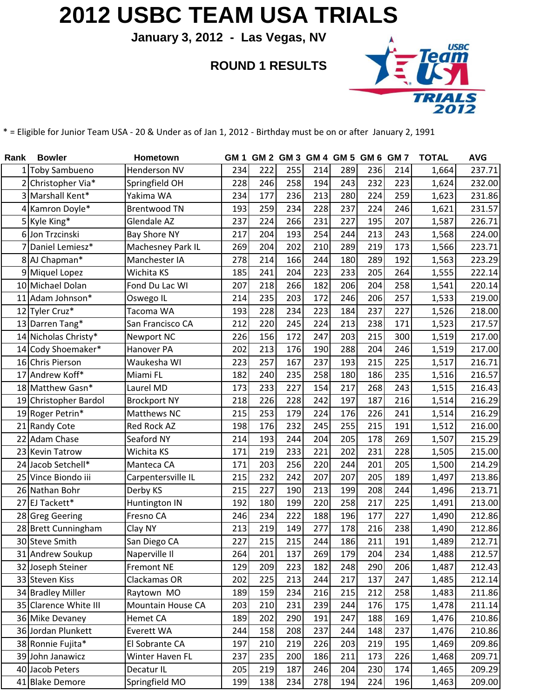## **2012 USBC TEAM USA TRIALS**

**January 3, 2012 - Las Vegas, NV**

**ROUND 1 RESULTS**



\* = Eligible for Junior Team USA - 20 & Under as of Jan 1, 2012 - Birthday must be on or after January 2, 1991

| Rank | <b>Bowler</b>         | Hometown                 | GM 1 |     | GM 2 GM 3 GM 4 GM 5 GM 6 GM 7 |     |     |     |     | <b>TOTAL</b> | <b>AVG</b> |
|------|-----------------------|--------------------------|------|-----|-------------------------------|-----|-----|-----|-----|--------------|------------|
|      | 1 Toby Sambueno       | Henderson NV             | 234  | 222 | 255                           | 214 | 289 | 236 | 214 | 1,664        | 237.71     |
|      | 2 Christopher Via*    | Springfield OH           | 228  | 246 | 258                           | 194 | 243 | 232 | 223 | 1,624        | 232.00     |
|      | 3 Marshall Kent*      | Yakima WA                | 234  | 177 | 236                           | 213 | 280 | 224 | 259 | 1,623        | 231.86     |
|      | 4 Kamron Doyle*       | <b>Brentwood TN</b>      | 193  | 259 | 234                           | 228 | 237 | 224 | 246 | 1,621        | 231.57     |
|      | 5 Kyle King*          | Glendale AZ              | 237  | 224 | 266                           | 231 | 227 | 195 | 207 | 1,587        | 226.71     |
|      | 6 Jon Trzcinski       | <b>Bay Shore NY</b>      | 217  | 204 | 193                           | 254 | 244 | 213 | 243 | 1,568        | 224.00     |
|      | Daniel Lemiesz*       | Machesney Park IL        | 269  | 204 | 202                           | 210 | 289 | 219 | 173 | 1,566        | 223.71     |
|      | 8 AJ Chapman*         | Manchester IA            | 278  | 214 | 166                           | 244 | 180 | 289 | 192 | 1,563        | 223.29     |
|      | 9 Miquel Lopez        | Wichita KS               | 185  | 241 | 204                           | 223 | 233 | 205 | 264 | 1,555        | 222.14     |
|      | 10 Michael Dolan      | Fond Du Lac WI           | 207  | 218 | 266                           | 182 | 206 | 204 | 258 | 1,541        | 220.14     |
|      | 11 Adam Johnson*      | Oswego IL                | 214  | 235 | 203                           | 172 | 246 | 206 | 257 | 1,533        | 219.00     |
|      | 12 Tyler Cruz*        | Tacoma WA                | 193  | 228 | 234                           | 223 | 184 | 237 | 227 | 1,526        | 218.00     |
|      | 13 Darren Tang*       | San Francisco CA         | 212  | 220 | 245                           | 224 | 213 | 238 | 171 | 1,523        | 217.57     |
|      | 14 Nicholas Christy*  | <b>Newport NC</b>        | 226  | 156 | 172                           | 247 | 203 | 215 | 300 | 1,519        | 217.00     |
|      | 14 Cody Shoemaker*    | Hanover PA               | 202  | 213 | 176                           | 190 | 288 | 204 | 246 | 1,519        | 217.00     |
|      | 16 Chris Pierson      | Waukesha WI              | 223  | 257 | 167                           | 237 | 193 | 215 | 225 | 1,517        | 216.71     |
| 17   | Andrew Koff*          | Miami FL                 | 182  | 240 | 235                           | 258 | 180 | 186 | 235 | 1,516        | 216.57     |
|      | 18 Matthew Gasn*      | Laurel MD                | 173  | 233 | 227                           | 154 | 217 | 268 | 243 | 1,515        | 216.43     |
|      | 19 Christopher Bardol | <b>Brockport NY</b>      | 218  | 226 | 228                           | 242 | 197 | 187 | 216 | 1,514        | 216.29     |
|      | 19 Roger Petrin*      | Matthews NC              | 215  | 253 | 179                           | 224 | 176 | 226 | 241 | 1,514        | 216.29     |
|      | 21 Randy Cote         | Red Rock AZ              | 198  | 176 | 232                           | 245 | 255 | 215 | 191 | 1,512        | 216.00     |
|      | 22 Adam Chase         | Seaford NY               | 214  | 193 | 244                           | 204 | 205 | 178 | 269 | 1,507        | 215.29     |
|      | 23 Kevin Tatrow       | Wichita KS               | 171  | 219 | 233                           | 221 | 202 | 231 | 228 | 1,505        | 215.00     |
|      | 24 Jacob Setchell*    | Manteca CA               | 171  | 203 | 256                           | 220 | 244 | 201 | 205 | 1,500        | 214.29     |
|      | 25 Vince Biondo iii   | Carpentersville IL       | 215  | 232 | 242                           | 207 | 207 | 205 | 189 | 1,497        | 213.86     |
|      | 26 Nathan Bohr        | Derby KS                 | 215  | 227 | 190                           | 213 | 199 | 208 | 244 | 1,496        | 213.71     |
|      | 27 EJ Tackett*        | Huntington IN            | 192  | 180 | 199                           | 220 | 258 | 217 | 225 | 1,491        | 213.00     |
|      | 28 Greg Geering       | Fresno CA                | 246  | 234 | 222                           | 188 | 196 | 177 | 227 | 1,490        | 212.86     |
|      | 28 Brett Cunningham   | Clay NY                  | 213  | 219 | 149                           | 277 | 178 | 216 | 238 | 1,490        | 212.86     |
|      | 30 Steve Smith        | San Diego CA             | 227  | 215 | 215                           | 244 | 186 | 211 | 191 | 1,489        | 212.71     |
|      | 31 Andrew Soukup      | Naperville II            | 264  | 201 | 137                           | 269 | 179 | 204 | 234 | 1,488        | 212.57     |
|      | 32 Joseph Steiner     | <b>Fremont NE</b>        | 129  | 209 | 223                           | 182 | 248 | 290 | 206 | 1,487        | 212.43     |
|      | 33 Steven Kiss        | Clackamas OR             | 202  | 225 | 213                           | 244 | 217 | 137 | 247 | 1,485        | 212.14     |
|      | 34 Bradley Miller     | Raytown MO               | 189  | 159 | 234                           | 216 | 215 | 212 | 258 | 1,483        | 211.86     |
|      | 35 Clarence White III | <b>Mountain House CA</b> | 203  | 210 | 231                           | 239 | 244 | 176 | 175 | 1,478        | 211.14     |
|      | 36 Mike Devaney       | Hemet CA                 | 189  | 202 | 290                           | 191 | 247 | 188 | 169 | 1,476        | 210.86     |
|      | 36 Jordan Plunkett    | Everett WA               | 244  | 158 | 208                           | 237 | 244 | 148 | 237 | 1,476        | 210.86     |
|      | 38 Ronnie Fujita*     | El Sobrante CA           | 197  | 210 | 219                           | 226 | 203 | 219 | 195 | 1,469        | 209.86     |
|      | 39 John Janawicz      | Winter Haven FL          | 237  | 235 | 200                           | 186 | 211 | 173 | 226 | 1,468        | 209.71     |
|      | 40 Jacob Peters       | Decatur <sub>IL</sub>    | 205  | 219 | 187                           | 246 | 204 | 230 | 174 | 1,465        | 209.29     |
|      | 41 Blake Demore       | Springfield MO           | 199  | 138 | 234                           | 278 | 194 | 224 | 196 | 1,463        | 209.00     |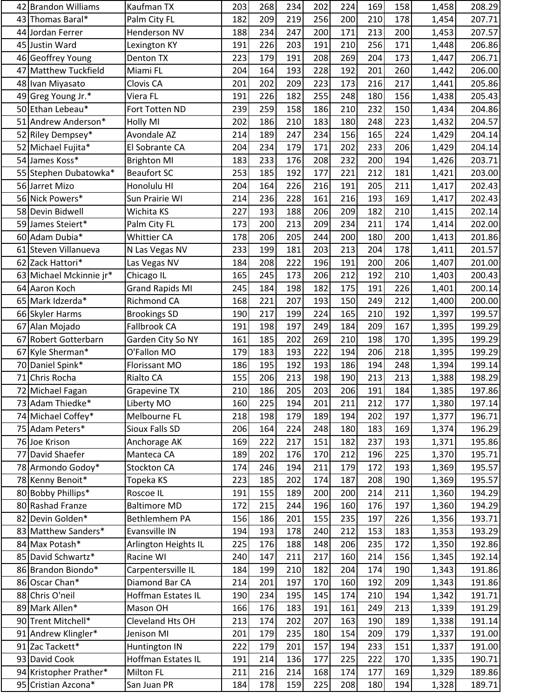|    | 42 Brandon Williams     | Kaufman TX                          | 203        | 268 | 234 | 202 | 224 | 169 | 158        | 1,458          | 208.29           |
|----|-------------------------|-------------------------------------|------------|-----|-----|-----|-----|-----|------------|----------------|------------------|
| 43 | Thomas Baral*           | Palm City FL                        | 182        | 209 | 219 | 256 | 200 | 210 | 178        | 1,454          | 207.71           |
|    | 44 Jordan Ferrer        | Henderson NV                        | 188        | 234 | 247 | 200 | 171 | 213 | 200        | 1,453          | 207.57           |
|    | 45 Justin Ward          | Lexington KY                        | 191        | 226 | 203 | 191 | 210 | 256 | 171        | 1,448          | 206.86           |
|    | 46 Geoffrey Young       | Denton TX                           | 223        | 179 | 191 | 208 | 269 | 204 | 173        | 1,447          | 206.71           |
|    | 47 Matthew Tuckfield    | Miami FL                            | 204        | 164 | 193 | 228 | 192 | 201 | 260        | 1,442          | 206.00           |
|    | 48 Ivan Miyasato        | Clovis CA                           | 201        | 202 | 209 | 223 | 173 | 216 | 217        | 1,441          | 205.86           |
|    | 49 Greg Young Jr.*      | Viera FL                            | 191        | 226 | 182 | 255 | 248 | 180 | 156        | 1,438          | 205.43           |
|    | 50 Ethan Lebeau*        | Fort Totten ND                      | 239        | 259 | 158 | 186 | 210 | 232 | 150        | 1,434          | 204.86           |
|    | 51 Andrew Anderson*     | <b>Holly MI</b>                     | 202        | 186 | 210 | 183 | 180 | 248 | 223        | 1,432          | 204.57           |
|    | 52 Riley Dempsey*       | Avondale AZ                         | 214        | 189 | 247 | 234 | 156 | 165 | 224        | 1,429          | 204.14           |
|    | 52 Michael Fujita*      | El Sobrante CA                      | 204        | 234 | 179 | 171 | 202 | 233 | 206        | 1,429          | 204.14           |
|    | 54 James Koss*          | <b>Brighton MI</b>                  | 183        | 233 | 176 | 208 | 232 | 200 | 194        | 1,426          | 203.71           |
|    | 55 Stephen Dubatowka*   | <b>Beaufort SC</b>                  | 253        | 185 | 192 | 177 | 221 | 212 | 181        | 1,421          | 203.00           |
|    | 56 Jarret Mizo          | Honolulu HI                         | 204        | 164 | 226 | 216 | 191 | 205 | 211        | 1,417          | 202.43           |
|    | 56 Nick Powers*         | Sun Prairie WI                      | 214        | 236 | 228 | 161 | 216 | 193 | 169        | 1,417          | 202.43           |
|    | 58 Devin Bidwell        | Wichita KS                          | 227        | 193 | 188 | 206 | 209 | 182 | 210        | 1,415          | 202.14           |
|    | 59 James Steiert*       | Palm City FL                        | 173        | 200 | 213 | 209 | 234 | 211 | 174        | 1,414          | 202.00           |
|    | 60 Adam Dubia*          | Whittier CA                         | 178        | 206 | 205 | 244 | 200 | 180 | 200        | 1,413          | 201.86           |
| 61 | Steven Villanueva       | N Las Vegas NV                      | 233        | 199 | 181 | 203 | 213 | 204 | 178        | 1,411          | 201.57           |
|    | 62 Zack Hattori*        | Las Vegas NV                        | 184        | 208 | 222 | 196 | 191 | 200 | 206        | 1,407          | 201.00           |
|    | 63 Michael Mckinnie jr* | Chicago IL                          | 165        | 245 | 173 | 206 | 212 | 192 | 210        | 1,403          | 200.43           |
|    | 64 Aaron Koch           | <b>Grand Rapids MI</b>              | 245        | 184 | 198 | 182 | 175 | 191 | 226        | 1,401          | 200.14           |
|    | 65 Mark Idzerda*        | Richmond CA                         | 168        | 221 | 207 | 193 | 150 | 249 | 212        | 1,400          | 200.00           |
|    | 66 Skyler Harms         | <b>Brookings SD</b>                 | 190        | 217 | 199 | 224 | 165 | 210 | 192        | 1,397          | 199.57           |
|    | 67 Alan Mojado          | Fallbrook CA                        | 191        | 198 | 197 | 249 | 184 | 209 | 167        | 1,395          | 199.29           |
| 67 | Robert Gotterbarn       | Garden City So NY                   | 161        | 185 | 202 | 269 | 210 | 198 | 170        | 1,395          | 199.29           |
|    | 67 Kyle Sherman*        | O'Fallon MO                         | 179        | 183 | 193 | 222 | 194 | 206 | 218        | 1,395          | 199.29           |
|    | 70 Daniel Spink*        | Florissant MO                       | 186        | 195 | 192 | 193 | 186 | 194 | 248        | 1,394          | 199.14           |
| 71 | Chris Rocha             | Rialto CA                           | 155        | 206 | 213 | 198 | 190 | 213 | 213        | 1,388          | 198.29           |
|    | 72 Michael Fagan        | <b>Grapevine TX</b>                 | 210        | 186 | 205 | 203 | 206 | 191 | 184        | 1,385          | 197.86           |
|    | 73 Adam Thiedke*        | Liberty MO                          | 160        | 225 | 194 | 201 | 211 | 212 | 177        | 1,380          | 197.14           |
|    | 74 Michael Coffey*      | Melbourne FL                        | 218        | 198 | 179 | 189 | 194 | 202 | 197        | 1,377          | 196.71           |
|    | 75 Adam Peters*         | Sioux Falls SD                      | 206        | 164 | 224 | 248 | 180 | 183 | 169        | 1,374          | 196.29           |
|    | 76 Joe Krison           | Anchorage AK                        | 169        | 222 | 217 | 151 | 182 | 237 | 193        | 1,371          | 195.86           |
|    | 77 David Shaefer        | Manteca CA                          | 189        | 202 | 176 | 170 | 212 | 196 | 225        | 1,370          | 195.71           |
|    | 78 Armondo Godoy*       | Stockton CA                         | 174        | 246 | 194 | 211 | 179 | 172 | 193        | 1,369          | 195.57           |
|    | 78 Kenny Benoit*        | Topeka KS                           | 223        | 185 | 202 | 174 | 187 | 208 | 190        | 1,369          | 195.57           |
|    | 80 Bobby Phillips*      | Roscoe IL                           | 191        | 155 | 189 | 200 | 200 | 214 | 211        | 1,360          | 194.29           |
|    | 80 Rashad Franze        | <b>Baltimore MD</b>                 | 172        | 215 | 244 | 196 | 160 | 176 | 197        | 1,360          | 194.29           |
|    | 82 Devin Golden*        | Bethlemhem PA                       | 156        | 186 | 201 | 155 | 235 | 197 | 226        | 1,356          | 193.71           |
|    | 83 Matthew Sanders*     | Evansville IN                       | 194        | 193 | 178 | 240 | 212 | 153 | 183        | 1,353          | 193.29           |
|    | 84 Max Potash*          | Arlington Heights IL                | 225        | 176 | 188 | 148 | 206 | 235 | 172        | 1,350          | 192.86           |
|    | 85 David Schwartz*      | Racine WI                           | 240        | 147 | 211 | 217 | 160 | 214 | 156        | 1,345          | 192.14           |
|    | 86 Brandon Biondo*      | Carpentersville IL                  | 184        | 199 | 210 | 182 | 204 | 174 | 190        | 1,343          | 191.86           |
|    | 86 Oscar Chan*          | Diamond Bar CA                      | 214        | 201 | 197 | 170 | 160 | 192 | 209        | 1,343          | 191.86           |
|    | 88 Chris O'neil         | Hoffman Estates IL                  | 190        | 234 | 195 | 145 | 174 | 210 | 194        | 1,342          | 191.71           |
|    | 89 Mark Allen*          |                                     |            | 176 | 183 | 191 | 161 | 249 |            |                |                  |
|    | 90 Trent Mitchell*      | Mason OH<br>Cleveland Hts OH        | 166<br>213 | 174 | 202 | 207 | 163 | 190 | 213<br>189 | 1,339<br>1,338 | 191.29<br>191.14 |
|    | 91 Andrew Klingler*     | Jenison MI                          | 201        | 179 | 235 | 180 | 154 | 209 | 179        |                | 191.00           |
|    | 91 Zac Tackett*         |                                     | 222        | 179 | 201 | 157 | 194 | 233 | 151        | 1,337          | 191.00           |
|    | 93 David Cook           | Huntington IN<br>Hoffman Estates IL | 191        | 214 | 136 | 177 | 225 | 222 | 170        | 1,337<br>1,335 | 190.71           |
|    | 94 Kristopher Prather*  | Milton FL                           | 211        | 216 | 214 | 168 | 174 | 177 | 169        | 1,329          | 189.86           |
|    |                         |                                     |            |     |     |     |     |     |            |                |                  |
|    | 95 Cristian Azcona*     | San Juan PR                         | 184        | 178 | 159 | 225 | 208 | 180 | 194        | 1,328          | 189.71           |